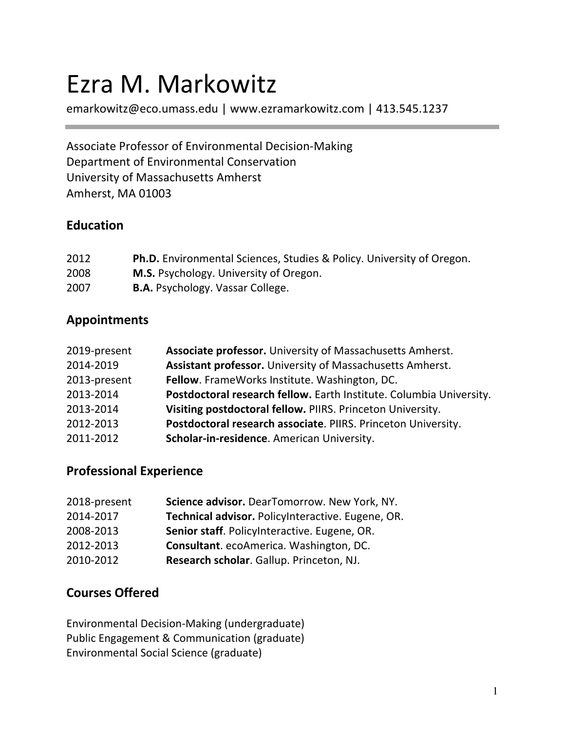# Ezra M. Markowitz

emarkowitz@eco.umass.edu | www.ezramarkowitz.com | 413.545.1237

Associate Professor of Environmental Decision-Making Department of Environmental Conservation University of Massachusetts Amherst Amherst, MA 01003

#### **Education**

| 2012 | <b>Ph.D.</b> Environmental Sciences, Studies & Policy. University of Oregon. |
|------|------------------------------------------------------------------------------|
| 2008 | <b>M.S.</b> Psychology. University of Oregon.                                |
| 2007 | <b>B.A.</b> Psychology. Vassar College.                                      |

#### **Appointments**

| 2019-present | Associate professor. University of Massachusetts Amherst.           |
|--------------|---------------------------------------------------------------------|
| 2014-2019    | Assistant professor. University of Massachusetts Amherst.           |
| 2013-present | Fellow. FrameWorks Institute. Washington, DC.                       |
| 2013-2014    | Postdoctoral research fellow. Earth Institute. Columbia University. |
| 2013-2014    | Visiting postdoctoral fellow. PIIRS. Princeton University.          |
| 2012-2013    | Postdoctoral research associate. PIIRS. Princeton University.       |
| 2011-2012    | Scholar-in-residence. American University.                          |
|              |                                                                     |

#### **Professional Experience**

| 2018-present | Science advisor. DearTomorrow. New York, NY.      |
|--------------|---------------------------------------------------|
| 2014-2017    | Technical advisor. PolicyInteractive. Eugene, OR. |
| 2008-2013    | Senior staff. PolicyInteractive. Eugene, OR.      |
| 2012-2013    | Consultant. ecoAmerica. Washington, DC.           |
| 2010-2012    | Research scholar. Gallup. Princeton, NJ.          |

## **Courses Offered**

Environmental Decision-Making (undergraduate) Public Engagement & Communication (graduate) Environmental Social Science (graduate)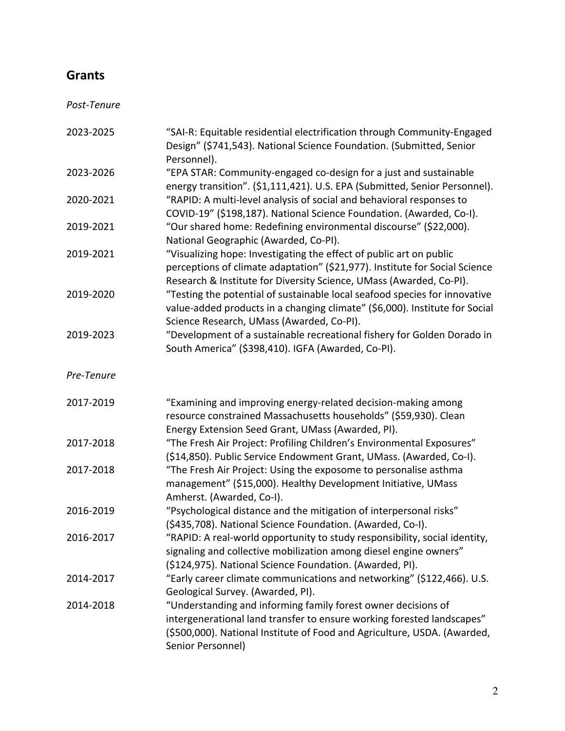# **Grants**

*Post-Tenure*

| 2023-2025  | "SAI-R: Equitable residential electrification through Community-Engaged<br>Design" (\$741,543). National Science Foundation. (Submitted, Senior                                                                                          |
|------------|------------------------------------------------------------------------------------------------------------------------------------------------------------------------------------------------------------------------------------------|
| 2023-2026  | Personnel).<br>"EPA STAR: Community-engaged co-design for a just and sustainable<br>energy transition". (\$1,111,421). U.S. EPA (Submitted, Senior Personnel).                                                                           |
| 2020-2021  | "RAPID: A multi-level analysis of social and behavioral responses to<br>COVID-19" (\$198,187). National Science Foundation. (Awarded, Co-I).                                                                                             |
| 2019-2021  | "Our shared home: Redefining environmental discourse" (\$22,000).<br>National Geographic (Awarded, Co-PI).                                                                                                                               |
| 2019-2021  | "Visualizing hope: Investigating the effect of public art on public<br>perceptions of climate adaptation" (\$21,977). Institute for Social Science<br>Research & Institute for Diversity Science, UMass (Awarded, Co-PI).                |
| 2019-2020  | "Testing the potential of sustainable local seafood species for innovative<br>value-added products in a changing climate" (\$6,000). Institute for Social<br>Science Research, UMass (Awarded, Co-PI).                                   |
| 2019-2023  | "Development of a sustainable recreational fishery for Golden Dorado in<br>South America" (\$398,410). IGFA (Awarded, Co-PI).                                                                                                            |
| Pre-Tenure |                                                                                                                                                                                                                                          |
| 2017-2019  | "Examining and improving energy-related decision-making among<br>resource constrained Massachusetts households" (\$59,930). Clean<br>Energy Extension Seed Grant, UMass (Awarded, PI).                                                   |
| 2017-2018  | "The Fresh Air Project: Profiling Children's Environmental Exposures"<br>(\$14,850). Public Service Endowment Grant, UMass. (Awarded, Co-I).                                                                                             |
| 2017-2018  | "The Fresh Air Project: Using the exposome to personalise asthma<br>management" (\$15,000). Healthy Development Initiative, UMass<br>Amherst. (Awarded, Co-I).                                                                           |
| 2016-2019  | "Psychological distance and the mitigation of interpersonal risks"<br>(\$435,708). National Science Foundation. (Awarded, Co-I).                                                                                                         |
| 2016-2017  | "RAPID: A real-world opportunity to study responsibility, social identity,<br>signaling and collective mobilization among diesel engine owners"<br>(\$124,975). National Science Foundation. (Awarded, PI).                              |
| 2014-2017  | "Early career climate communications and networking" (\$122,466). U.S.<br>Geological Survey. (Awarded, PI).                                                                                                                              |
| 2014-2018  | "Understanding and informing family forest owner decisions of<br>intergenerational land transfer to ensure working forested landscapes"<br>(\$500,000). National Institute of Food and Agriculture, USDA. (Awarded,<br>Senior Personnel) |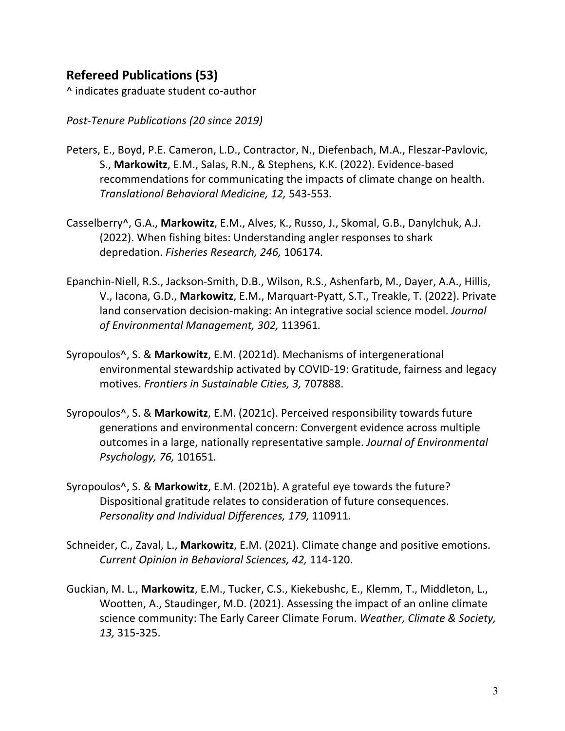# **Refereed Publications (53)**

^ indicates graduate student co-author

*Post-Tenure Publications (20 since 2019)*

- Peters, E., Boyd, P.E. Cameron, L.D., Contractor, N., Diefenbach, M.A., Fleszar-Pavlovic, S., **Markowitz**, E.M., Salas, R.N., & Stephens, K.K. (2022). Evidence-based recommendations for communicating the impacts of climate change on health. *Translational Behavioral Medicine, 12,* 543-553*.*
- Casselberry^, G.A., **Markowitz**, E.M., Alves, K., Russo, J., Skomal, G.B., Danylchuk, A.J. (2022). When fishing bites: Understanding angler responses to shark depredation. *Fisheries Research, 246,* 106174*.*
- Epanchin-Niell, R.S., Jackson-Smith, D.B., Wilson, R.S., Ashenfarb, M., Dayer, A.A., Hillis, V., Iacona, G.D., **Markowitz**, E.M., Marquart-Pyatt, S.T., Treakle, T. (2022). Private land conservation decision-making: An integrative social science model. *Journal of Environmental Management, 302,* 113961*.*
- Syropoulos^, S. & **Markowitz**, E.M. (2021d). Mechanisms of intergenerational environmental stewardship activated by COVID-19: Gratitude, fairness and legacy motives. *Frontiers in Sustainable Cities, 3,* 707888.
- Syropoulos^, S. & **Markowitz**, E.M. (2021c). Perceived responsibility towards future generations and environmental concern: Convergent evidence across multiple outcomes in a large, nationally representative sample. *Journal of Environmental Psychology, 76,* 101651*.*
- Syropoulos^, S. & **Markowitz**, E.M. (2021b). A grateful eye towards the future? Dispositional gratitude relates to consideration of future consequences. *Personality and Individual Differences, 179,* 110911*.*
- Schneider, C., Zaval, L., **Markowitz**, E.M. (2021). Climate change and positive emotions. *Current Opinion in Behavioral Sciences, 42,* 114-120.
- Guckian, M. L., **Markowitz**, E.M., Tucker, C.S., Kiekebushc, E., Klemm, T., Middleton, L., Wootten, A., Staudinger, M.D. (2021). Assessing the impact of an online climate science community: The Early Career Climate Forum. *Weather, Climate & Society, 13,* 315-325.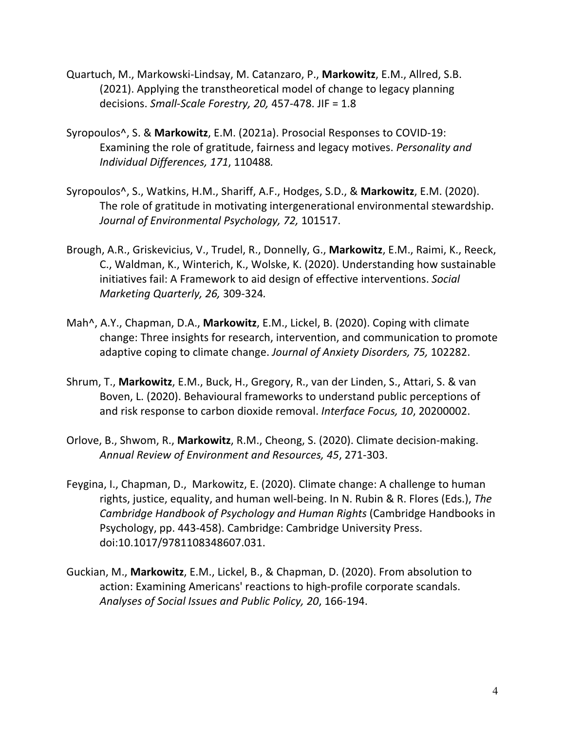- Quartuch, M., Markowski-Lindsay, M. Catanzaro, P., **Markowitz**, E.M., Allred, S.B. (2021). Applying the transtheoretical model of change to legacy planning decisions. *Small-Scale Forestry, 20,* 457-478. JIF = 1.8
- Syropoulos^, S. & **Markowitz**, E.M. (2021a). Prosocial Responses to COVID-19: Examining the role of gratitude, fairness and legacy motives. *Personality and Individual Differences, 171*, 110488*.*
- Syropoulos^, S., Watkins, H.M., Shariff, A.F., Hodges, S.D., & **Markowitz**, E.M. (2020). The role of gratitude in motivating intergenerational environmental stewardship. *Journal of Environmental Psychology, 72,* 101517.
- Brough, A.R., Griskevicius, V., Trudel, R., Donnelly, G., **Markowitz**, E.M., Raimi, K., Reeck, C., Waldman, K., Winterich, K., Wolske, K. (2020). Understanding how sustainable initiatives fail: A Framework to aid design of effective interventions. *Social Marketing Quarterly, 26,* 309-324*.*
- Mah^, A.Y., Chapman, D.A., **Markowitz**, E.M., Lickel, B. (2020). Coping with climate change: Three insights for research, intervention, and communication to promote adaptive coping to climate change. *Journal of Anxiety Disorders, 75,* 102282.
- Shrum, T., **Markowitz**, E.M., Buck, H., Gregory, R., van der Linden, S., Attari, S. & van Boven, L. (2020). Behavioural frameworks to understand public perceptions of and risk response to carbon dioxide removal. *Interface Focus, 10*, 20200002.
- Orlove, B., Shwom, R., **Markowitz**, R.M., Cheong, S. (2020). Climate decision-making. *Annual Review of Environment and Resources, 45*, 271-303.
- Feygina, I., Chapman, D., Markowitz, E. (2020). Climate change: A challenge to human rights, justice, equality, and human well-being. In N. Rubin & R. Flores (Eds.), *The Cambridge Handbook of Psychology and Human Rights* (Cambridge Handbooks in Psychology, pp. 443-458). Cambridge: Cambridge University Press. doi:10.1017/9781108348607.031.
- Guckian, M., **Markowitz**, E.M., Lickel, B., & Chapman, D. (2020). From absolution to action: Examining Americans' reactions to high-profile corporate scandals. *Analyses of Social Issues and Public Policy, 20*, 166-194.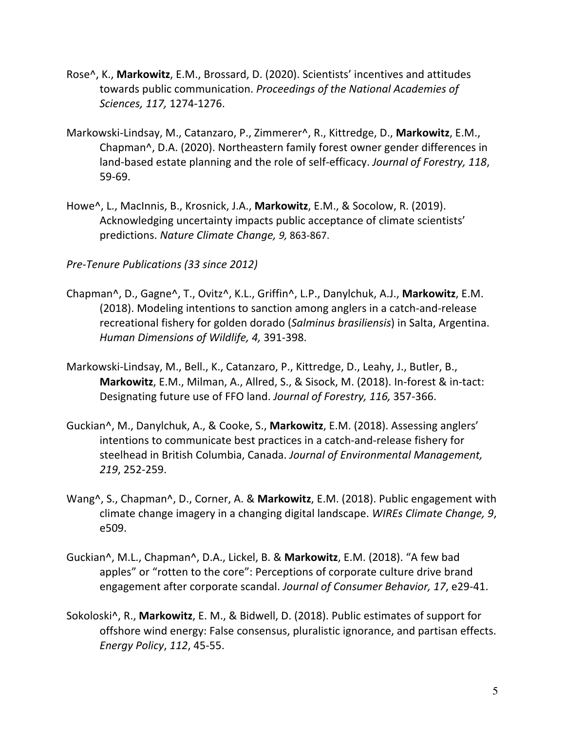- Rose^, K., **Markowitz**, E.M., Brossard, D. (2020). Scientists' incentives and attitudes towards public communication. *Proceedings of the National Academies of Sciences, 117,* 1274-1276.
- Markowski-Lindsay, M., Catanzaro, P., Zimmerer^, R., Kittredge, D., **Markowitz**, E.M., Chapman^, D.A. (2020). Northeastern family forest owner gender differences in land-based estate planning and the role of self-efficacy. *Journal of Forestry, 118*, 59-69.
- Howe^, L., MacInnis, B., Krosnick, J.A., **Markowitz**, E.M., & Socolow, R. (2019). Acknowledging uncertainty impacts public acceptance of climate scientists' predictions. *Nature Climate Change, 9,* 863-867.

*Pre-Tenure Publications (33 since 2012)*

- Chapman^, D., Gagne^, T., Ovitz^, K.L., Griffin^, L.P., Danylchuk, A.J., **Markowitz**, E.M. (2018). Modeling intentions to sanction among anglers in a catch-and-release recreational fishery for golden dorado (*Salminus brasiliensis*) in Salta, Argentina. *Human Dimensions of Wildlife, 4,* 391-398.
- Markowski-Lindsay, M., Bell., K., Catanzaro, P., Kittredge, D., Leahy, J., Butler, B., **Markowitz**, E.M., Milman, A., Allred, S., & Sisock, M. (2018). In-forest & in-tact: Designating future use of FFO land. *Journal of Forestry, 116,* 357-366.
- Guckian^, M., Danylchuk, A., & Cooke, S., **Markowitz**, E.M. (2018). Assessing anglers' intentions to communicate best practices in a catch-and-release fishery for steelhead in British Columbia, Canada. *Journal of Environmental Management, 219*, 252-259.
- Wang^, S., Chapman^, D., Corner, A. & **Markowitz**, E.M. (2018). Public engagement with climate change imagery in a changing digital landscape. *WIREs Climate Change, 9*, e509.
- Guckian^, M.L., Chapman^, D.A., Lickel, B. & **Markowitz**, E.M. (2018). "A few bad apples" or "rotten to the core": Perceptions of corporate culture drive brand engagement after corporate scandal. *Journal of Consumer Behavior, 17*, e29-41.
- Sokoloski^, R., **Markowitz**, E. M., & Bidwell, D. (2018). Public estimates of support for offshore wind energy: False consensus, pluralistic ignorance, and partisan effects. *Energy Policy*, *112*, 45-55.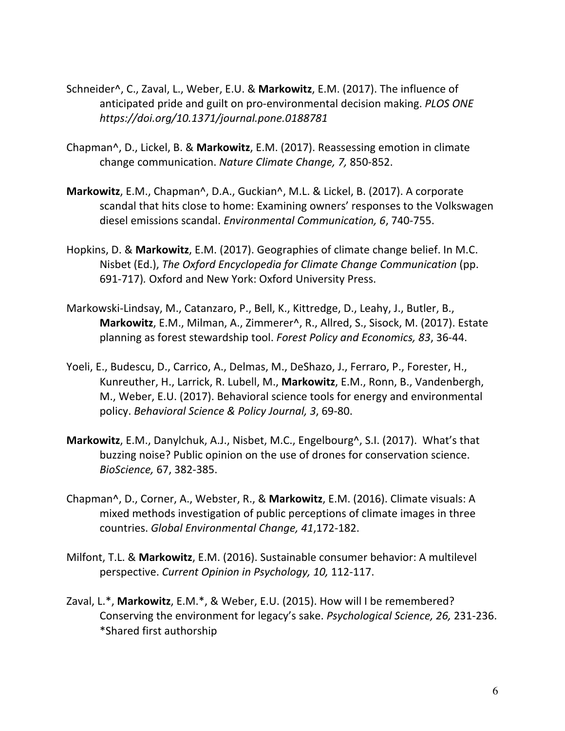- Schneider^, C., Zaval, L., Weber, E.U. & **Markowitz**, E.M. (2017). The influence of anticipated pride and guilt on pro-environmental decision making. *PLOS ONE https://doi.org/10.1371/journal.pone.0188781*
- Chapman^, D., Lickel, B. & **Markowitz**, E.M. (2017). Reassessing emotion in climate change communication. *Nature Climate Change, 7,* 850-852.
- **Markowitz**, E.M., Chapman^, D.A., Guckian^, M.L. & Lickel, B. (2017). A corporate scandal that hits close to home: Examining owners' responses to the Volkswagen diesel emissions scandal. *Environmental Communication, 6*, 740-755.
- Hopkins, D. & **Markowitz**, E.M. (2017). Geographies of climate change belief. In M.C. Nisbet (Ed.), *The Oxford Encyclopedia for Climate Change Communication* (pp. 691-717)*.* Oxford and New York: Oxford University Press.
- Markowski-Lindsay, M., Catanzaro, P., Bell, K., Kittredge, D., Leahy, J., Butler, B., **Markowitz**, E.M., Milman, A., Zimmerer^, R., Allred, S., Sisock, M. (2017). Estate planning as forest stewardship tool. *Forest Policy and Economics, 83*, 36-44.
- Yoeli, E., Budescu, D., Carrico, A., Delmas, M., DeShazo, J., Ferraro, P., Forester, H., Kunreuther, H., Larrick, R. Lubell, M., **Markowitz**, E.M., Ronn, B., Vandenbergh, M., Weber, E.U. (2017). Behavioral science tools for energy and environmental policy. *Behavioral Science & Policy Journal, 3*, 69-80.
- **Markowitz**, E.M., Danylchuk, A.J., Nisbet, M.C., Engelbourg^, S.I. (2017). What's that buzzing noise? Public opinion on the use of drones for conservation science. *BioScience,* 67, 382-385.
- Chapman^, D., Corner, A., Webster, R., & **Markowitz**, E.M. (2016). Climate visuals: A mixed methods investigation of public perceptions of climate images in three countries. *Global Environmental Change, 41*,172-182.
- Milfont, T.L. & **Markowitz**, E.M. (2016). Sustainable consumer behavior: A multilevel perspective. *Current Opinion in Psychology, 10,* 112-117.
- Zaval, L.\*, **Markowitz**, E.M.\*, & Weber, E.U. (2015). How will I be remembered? Conserving the environment for legacy's sake. *Psychological Science, 26,* 231-236. \*Shared first authorship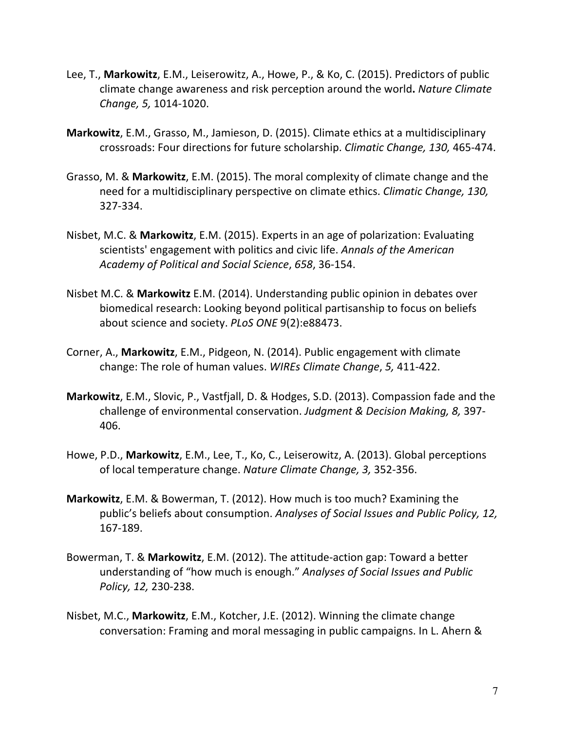- Lee, T., **Markowitz**, E.M., Leiserowitz, A., Howe, P., & Ko, C. (2015). Predictors of public climate change awareness and risk perception around the world**.** *Nature Climate Change, 5,* 1014-1020.
- **Markowitz**, E.M., Grasso, M., Jamieson, D. (2015). Climate ethics at a multidisciplinary crossroads: Four directions for future scholarship. *Climatic Change, 130,* 465-474.
- Grasso, M. & **Markowitz**, E.M. (2015). The moral complexity of climate change and the need for a multidisciplinary perspective on climate ethics. *Climatic Change, 130,*  327-334.
- Nisbet, M.C. & **Markowitz**, E.M. (2015). Experts in an age of polarization: Evaluating scientists' engagement with politics and civic life. *Annals of the American Academy of Political and Social Science*, *658*, 36-154.
- Nisbet M.C. & **Markowitz** E.M. (2014). Understanding public opinion in debates over biomedical research: Looking beyond political partisanship to focus on beliefs about science and society. *PLoS ONE* 9(2):e88473.
- Corner, A., **Markowitz**, E.M., Pidgeon, N. (2014). Public engagement with climate change: The role of human values. *WIREs Climate Change*, *5,* 411-422.
- **Markowitz**, E.M., Slovic, P., Vastfjall, D. & Hodges, S.D. (2013). Compassion fade and the challenge of environmental conservation. *Judgment & Decision Making, 8,* 397- 406.
- Howe, P.D., **Markowitz**, E.M., Lee, T., Ko, C., Leiserowitz, A. (2013). Global perceptions of local temperature change. *Nature Climate Change, 3,* 352-356.
- **Markowitz**, E.M. & Bowerman, T. (2012). How much is too much? Examining the public's beliefs about consumption. *Analyses of Social Issues and Public Policy, 12,*  167-189.
- Bowerman, T. & **Markowitz**, E.M. (2012). The attitude-action gap: Toward a better understanding of "how much is enough." *Analyses of Social Issues and Public Policy, 12,* 230-238.
- Nisbet, M.C., **Markowitz**, E.M., Kotcher, J.E. (2012). Winning the climate change conversation: Framing and moral messaging in public campaigns. In L. Ahern &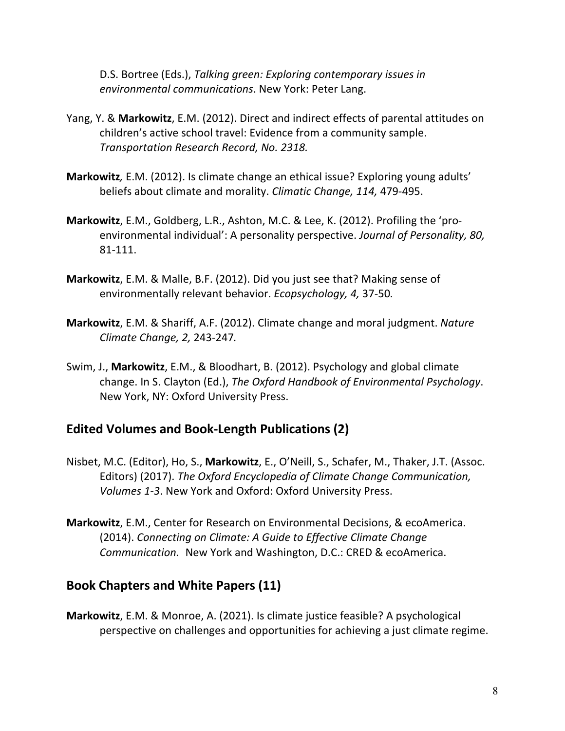D.S. Bortree (Eds.), *Talking green: Exploring contemporary issues in environmental communications*. New York: Peter Lang.

- Yang, Y. & **Markowitz**, E.M. (2012). Direct and indirect effects of parental attitudes on children's active school travel: Evidence from a community sample. *Transportation Research Record, No. 2318.*
- **Markowitz***,* E.M. (2012). Is climate change an ethical issue? Exploring young adults' beliefs about climate and morality. *Climatic Change, 114,* 479-495.
- **Markowitz**, E.M., Goldberg, L.R., Ashton, M.C. & Lee, K. (2012). Profiling the 'proenvironmental individual': A personality perspective. *Journal of Personality, 80,*  81-111.
- **Markowitz**, E.M. & Malle, B.F. (2012). Did you just see that? Making sense of environmentally relevant behavior. *Ecopsychology, 4,* 37-50*.*
- **Markowitz**, E.M. & Shariff, A.F. (2012). Climate change and moral judgment. *Nature Climate Change, 2,* 243-247*.*
- Swim, J., **Markowitz**, E.M., & Bloodhart, B. (2012). Psychology and global climate change. In S. Clayton (Ed.), *The Oxford Handbook of Environmental Psychology*. New York, NY: Oxford University Press.

#### **Edited Volumes and Book-Length Publications (2)**

- Nisbet, M.C. (Editor), Ho, S., **Markowitz**, E., O'Neill, S., Schafer, M., Thaker, J.T. (Assoc. Editors) (2017). *The Oxford Encyclopedia of Climate Change Communication, Volumes 1-3*. New York and Oxford: Oxford University Press.
- **Markowitz**, E.M., Center for Research on Environmental Decisions, & ecoAmerica. (2014). *Connecting on Climate: A Guide to Effective Climate Change Communication.* New York and Washington, D.C.: CRED & ecoAmerica.

#### **Book Chapters and White Papers (11)**

**Markowitz**, E.M. & Monroe, A. (2021). Is climate justice feasible? A psychological perspective on challenges and opportunities for achieving a just climate regime.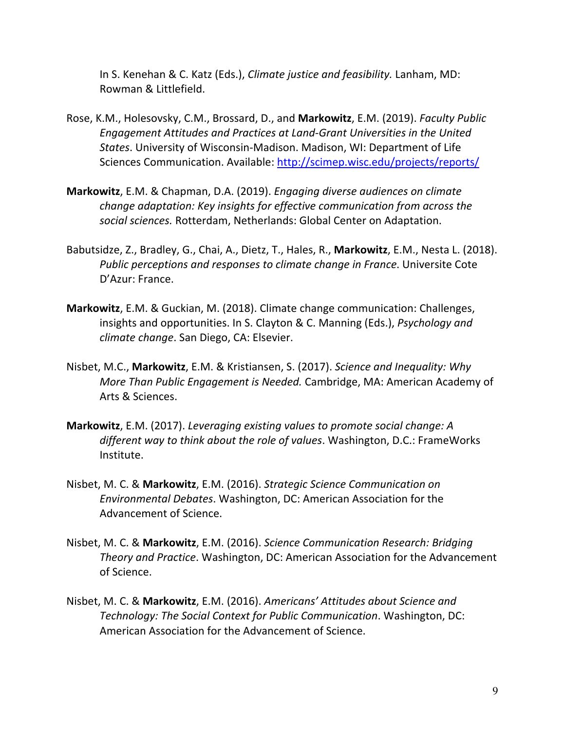In S. Kenehan & C. Katz (Eds.), *Climate justice and feasibility.* Lanham, MD: Rowman & Littlefield.

- Rose, K.M., Holesovsky, C.M., Brossard, D., and **Markowitz**, E.M. (2019). *Faculty Public Engagement Attitudes and Practices at Land-Grant Universities in the United States*. University of Wisconsin-Madison. Madison, WI: Department of Life Sciences Communication. Available: http://scimep.wisc.edu/projects/reports/
- **Markowitz**, E.M. & Chapman, D.A. (2019). *Engaging diverse audiences on climate change adaptation: Key insights for effective communication from across the social sciences.* Rotterdam, Netherlands: Global Center on Adaptation.
- Babutsidze, Z., Bradley, G., Chai, A., Dietz, T., Hales, R., **Markowitz**, E.M., Nesta L. (2018). *Public perceptions and responses to climate change in France*. Universite Cote D'Azur: France.
- **Markowitz**, E.M. & Guckian, M. (2018). Climate change communication: Challenges, insights and opportunities. In S. Clayton & C. Manning (Eds.), *Psychology and climate change*. San Diego, CA: Elsevier.
- Nisbet, M.C., **Markowitz**, E.M. & Kristiansen, S. (2017). *Science and Inequality: Why More Than Public Engagement is Needed.* Cambridge, MA: American Academy of Arts & Sciences.
- **Markowitz**, E.M. (2017). *Leveraging existing values to promote social change: A different way to think about the role of values*. Washington, D.C.: FrameWorks Institute.
- Nisbet, M. C. & **Markowitz**, E.M. (2016). *Strategic Science Communication on Environmental Debates*. Washington, DC: American Association for the Advancement of Science.
- Nisbet, M. C. & **Markowitz**, E.M. (2016). *Science Communication Research: Bridging Theory and Practice*. Washington, DC: American Association for the Advancement of Science.
- Nisbet, M. C. & **Markowitz**, E.M. (2016). *Americans' Attitudes about Science and Technology: The Social Context for Public Communication*. Washington, DC: American Association for the Advancement of Science.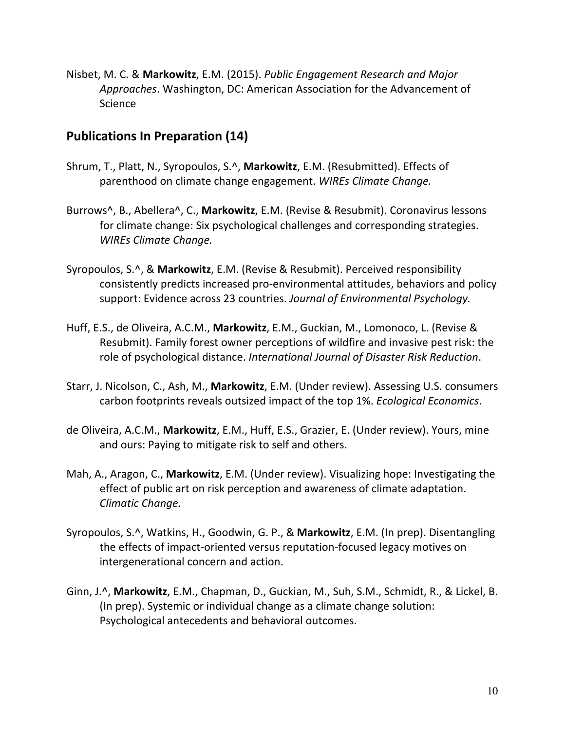Nisbet, M. C. & **Markowitz**, E.M. (2015). *Public Engagement Research and Major Approaches*. Washington, DC: American Association for the Advancement of Science

#### **Publications In Preparation (14)**

- Shrum, T., Platt, N., Syropoulos, S.^, **Markowitz**, E.M. (Resubmitted). Effects of parenthood on climate change engagement. *WIREs Climate Change.*
- Burrows^, B., Abellera^, C., **Markowitz**, E.M. (Revise & Resubmit). Coronavirus lessons for climate change: Six psychological challenges and corresponding strategies. *WIREs Climate Change.*
- Syropoulos, S.^, & **Markowitz**, E.M. (Revise & Resubmit). Perceived responsibility consistently predicts increased pro-environmental attitudes, behaviors and policy support: Evidence across 23 countries. *Journal of Environmental Psychology.*
- Huff, E.S., de Oliveira, A.C.M., **Markowitz**, E.M., Guckian, M., Lomonoco, L. (Revise & Resubmit). Family forest owner perceptions of wildfire and invasive pest risk: the role of psychological distance. *International Journal of Disaster Risk Reduction*.
- Starr, J. Nicolson, C., Ash, M., **Markowitz**, E.M. (Under review). Assessing U.S. consumers carbon footprints reveals outsized impact of the top 1%. *Ecological Economics*.
- de Oliveira, A.C.M., **Markowitz**, E.M., Huff, E.S., Grazier, E. (Under review). Yours, mine and ours: Paying to mitigate risk to self and others.
- Mah, A., Aragon, C., **Markowitz**, E.M. (Under review). Visualizing hope: Investigating the effect of public art on risk perception and awareness of climate adaptation. *Climatic Change.*
- Syropoulos, S.^, Watkins, H., Goodwin, G. P., & **Markowitz**, E.M. (In prep). Disentangling the effects of impact-oriented versus reputation-focused legacy motives on intergenerational concern and action.
- Ginn, J.^, **Markowitz**, E.M., Chapman, D., Guckian, M., Suh, S.M., Schmidt, R., & Lickel, B. (In prep). Systemic or individual change as a climate change solution: Psychological antecedents and behavioral outcomes.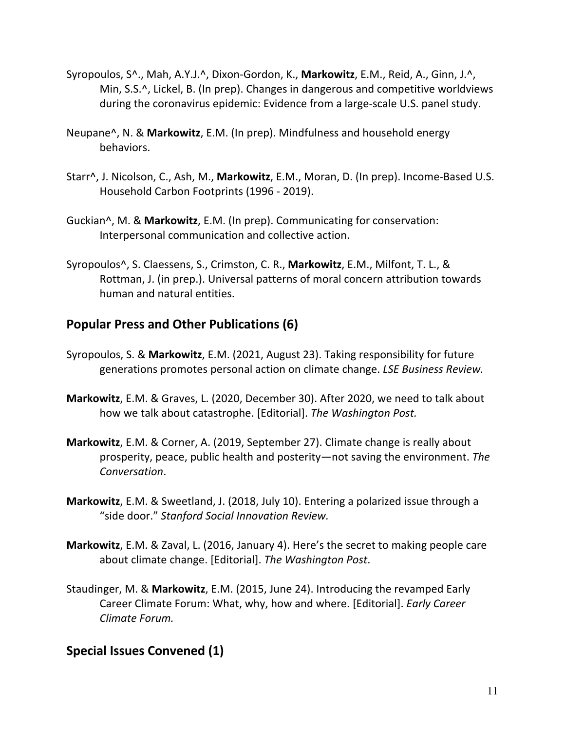- Syropoulos, S^., Mah, A.Y.J.^, Dixon-Gordon, K., **Markowitz**, E.M., Reid, A., Ginn, J.^, Min, S.S.^, Lickel, B. (In prep). Changes in dangerous and competitive worldviews during the coronavirus epidemic: Evidence from a large-scale U.S. panel study.
- Neupane^, N. & **Markowitz**, E.M. (In prep). Mindfulness and household energy behaviors.
- Starr^, J. Nicolson, C., Ash, M., **Markowitz**, E.M., Moran, D. (In prep). Income-Based U.S. Household Carbon Footprints (1996 - 2019).
- Guckian^, M. & **Markowitz**, E.M. (In prep). Communicating for conservation: Interpersonal communication and collective action.
- Syropoulos^, S. Claessens, S., Crimston, C. R., **Markowitz**, E.M., Milfont, T. L., & Rottman, J. (in prep.). Universal patterns of moral concern attribution towards human and natural entities.

#### **Popular Press and Other Publications (6)**

- Syropoulos, S. & **Markowitz**, E.M. (2021, August 23). Taking responsibility for future generations promotes personal action on climate change. *LSE Business Review.*
- **Markowitz**, E.M. & Graves, L. (2020, December 30). After 2020, we need to talk about how we talk about catastrophe. [Editorial]. *The Washington Post.*
- **Markowitz**, E.M. & Corner, A. (2019, September 27). Climate change is really about prosperity, peace, public health and posterity—not saving the environment. *The Conversation*.
- **Markowitz**, E.M. & Sweetland, J. (2018, July 10). Entering a polarized issue through a "side door." *Stanford Social Innovation Review.*
- **Markowitz**, E.M. & Zaval, L. (2016, January 4). Here's the secret to making people care about climate change. [Editorial]. *The Washington Post*.
- Staudinger, M. & **Markowitz**, E.M. (2015, June 24). Introducing the revamped Early Career Climate Forum: What, why, how and where. [Editorial]. *Early Career Climate Forum.*

#### **Special Issues Convened (1)**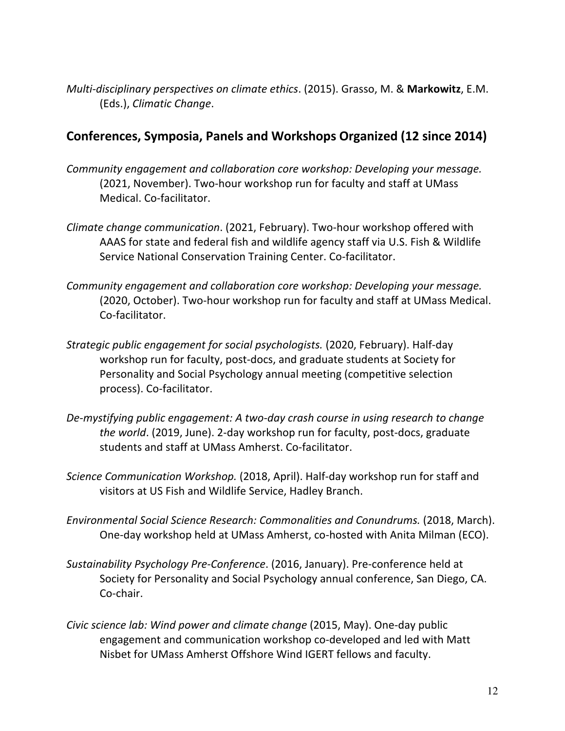*Multi-disciplinary perspectives on climate ethics*. (2015). Grasso, M. & **Markowitz**, E.M. (Eds.), *Climatic Change*.

#### **Conferences, Symposia, Panels and Workshops Organized (12 since 2014)**

- *Community engagement and collaboration core workshop: Developing your message.*  (2021, November). Two-hour workshop run for faculty and staff at UMass Medical. Co-facilitator.
- *Climate change communication*. (2021, February). Two-hour workshop offered with AAAS for state and federal fish and wildlife agency staff via U.S. Fish & Wildlife Service National Conservation Training Center. Co-facilitator.
- *Community engagement and collaboration core workshop: Developing your message.*  (2020, October). Two-hour workshop run for faculty and staff at UMass Medical. Co-facilitator.
- *Strategic public engagement for social psychologists.* (2020, February). Half-day workshop run for faculty, post-docs, and graduate students at Society for Personality and Social Psychology annual meeting (competitive selection process). Co-facilitator.
- *De-mystifying public engagement: A two-day crash course in using research to change the world*. (2019, June). 2-day workshop run for faculty, post-docs, graduate students and staff at UMass Amherst. Co-facilitator.
- *Science Communication Workshop.* (2018, April). Half-day workshop run for staff and visitors at US Fish and Wildlife Service, Hadley Branch.
- *Environmental Social Science Research: Commonalities and Conundrums.* (2018, March). One-day workshop held at UMass Amherst, co-hosted with Anita Milman (ECO).
- *Sustainability Psychology Pre-Conference*. (2016, January). Pre-conference held at Society for Personality and Social Psychology annual conference, San Diego, CA. Co-chair.
- *Civic science lab: Wind power and climate change* (2015, May). One-day public engagement and communication workshop co-developed and led with Matt Nisbet for UMass Amherst Offshore Wind IGERT fellows and faculty.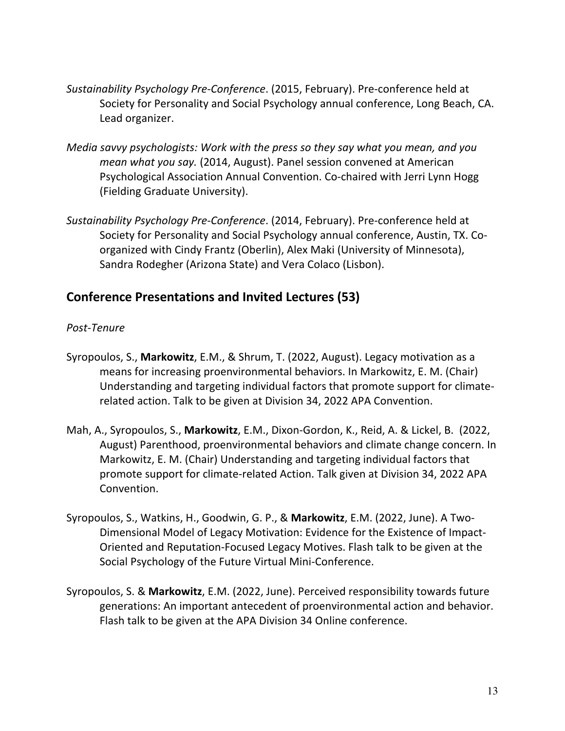- *Sustainability Psychology Pre-Conference*. (2015, February). Pre-conference held at Society for Personality and Social Psychology annual conference, Long Beach, CA. Lead organizer.
- *Media savvy psychologists: Work with the press so they say what you mean, and you mean what you say.* (2014, August). Panel session convened at American Psychological Association Annual Convention. Co-chaired with Jerri Lynn Hogg (Fielding Graduate University).
- *Sustainability Psychology Pre-Conference*. (2014, February). Pre-conference held at Society for Personality and Social Psychology annual conference, Austin, TX. Coorganized with Cindy Frantz (Oberlin), Alex Maki (University of Minnesota), Sandra Rodegher (Arizona State) and Vera Colaco (Lisbon).

#### **Conference Presentations and Invited Lectures (53)**

#### *Post-Tenure*

- Syropoulos, S., **Markowitz**, E.M., & Shrum, T. (2022, August). Legacy motivation as a means for increasing proenvironmental behaviors. In Markowitz, E. M. (Chair) Understanding and targeting individual factors that promote support for climaterelated action. Talk to be given at Division 34, 2022 APA Convention.
- Mah, A., Syropoulos, S., **Markowitz**, E.M., Dixon-Gordon, K., Reid, A. & Lickel, B. (2022, August) Parenthood, proenvironmental behaviors and climate change concern. In Markowitz, E. M. (Chair) Understanding and targeting individual factors that promote support for climate-related Action. Talk given at Division 34, 2022 APA Convention.
- Syropoulos, S., Watkins, H., Goodwin, G. P., & **Markowitz**, E.M. (2022, June). A Two-Dimensional Model of Legacy Motivation: Evidence for the Existence of Impact-Oriented and Reputation-Focused Legacy Motives. Flash talk to be given at the Social Psychology of the Future Virtual Mini-Conference.
- Syropoulos, S. & **Markowitz**, E.M. (2022, June). Perceived responsibility towards future generations: An important antecedent of proenvironmental action and behavior. Flash talk to be given at the APA Division 34 Online conference.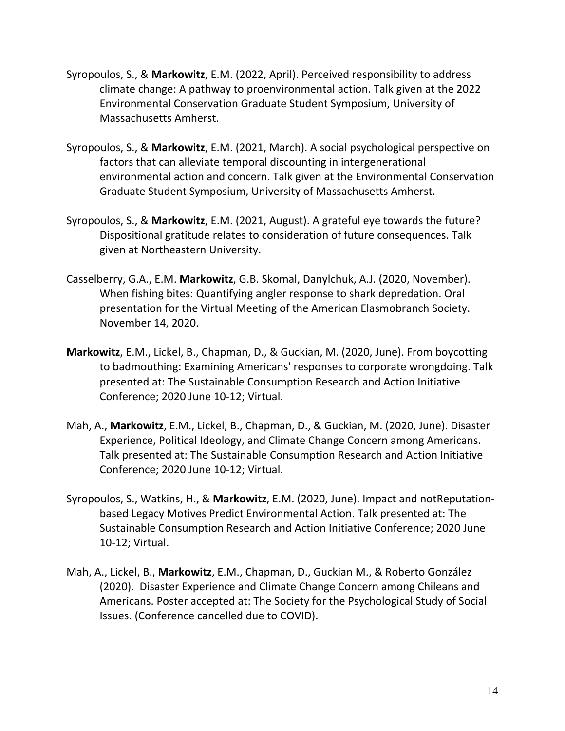- Syropoulos, S., & **Markowitz**, E.M. (2022, April). Perceived responsibility to address climate change: A pathway to proenvironmental action. Talk given at the 2022 Environmental Conservation Graduate Student Symposium, University of Massachusetts Amherst.
- Syropoulos, S., & **Markowitz**, E.M. (2021, March). A social psychological perspective on factors that can alleviate temporal discounting in intergenerational environmental action and concern. Talk given at the Environmental Conservation Graduate Student Symposium, University of Massachusetts Amherst.
- Syropoulos, S., & **Markowitz**, E.M. (2021, August). A grateful eye towards the future? Dispositional gratitude relates to consideration of future consequences. Talk given at Northeastern University.
- Casselberry, G.A., E.M. **Markowitz**, G.B. Skomal, Danylchuk, A.J. (2020, November). When fishing bites: Quantifying angler response to shark depredation. Oral presentation for the Virtual Meeting of the American Elasmobranch Society. November 14, 2020.
- **Markowitz**, E.M., Lickel, B., Chapman, D., & Guckian, M. (2020, June). From boycotting to badmouthing: Examining Americans' responses to corporate wrongdoing. Talk presented at: The Sustainable Consumption Research and Action Initiative Conference; 2020 June 10-12; Virtual.
- Mah, A., **Markowitz**, E.M., Lickel, B., Chapman, D., & Guckian, M. (2020, June). Disaster Experience, Political Ideology, and Climate Change Concern among Americans. Talk presented at: The Sustainable Consumption Research and Action Initiative Conference; 2020 June 10-12; Virtual.
- Syropoulos, S., Watkins, H., & **Markowitz**, E.M. (2020, June). Impact and notReputationbased Legacy Motives Predict Environmental Action. Talk presented at: The Sustainable Consumption Research and Action Initiative Conference; 2020 June 10-12; Virtual.
- Mah, A., Lickel, B., **Markowitz**, E.M., Chapman, D., Guckian M., & Roberto González (2020). Disaster Experience and Climate Change Concern among Chileans and Americans. Poster accepted at: The Society for the Psychological Study of Social Issues. (Conference cancelled due to COVID).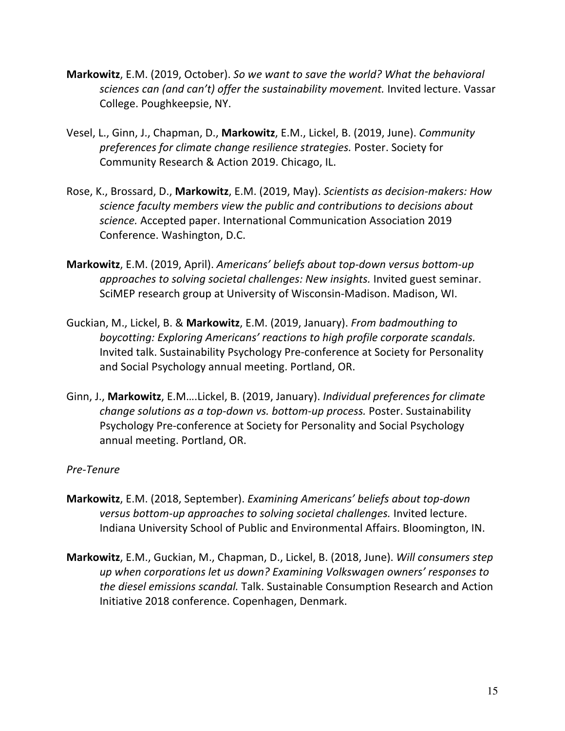- **Markowitz**, E.M. (2019, October). *So we want to save the world? What the behavioral*  sciences can (and can't) offer the sustainability movement. Invited lecture. Vassar College. Poughkeepsie, NY.
- Vesel, L., Ginn, J., Chapman, D., **Markowitz**, E.M., Lickel, B. (2019, June). *Community preferences for climate change resilience strategies.* Poster. Society for Community Research & Action 2019. Chicago, IL.
- Rose, K., Brossard, D., **Markowitz**, E.M. (2019, May). *Scientists as decision-makers: How science faculty members view the public and contributions to decisions about science.* Accepted paper. International Communication Association 2019 Conference. Washington, D.C.
- **Markowitz**, E.M. (2019, April). *Americans' beliefs about top-down versus bottom-up approaches to solving societal challenges: New insights.* Invited guest seminar. SciMEP research group at University of Wisconsin-Madison. Madison, WI.
- Guckian, M., Lickel, B. & **Markowitz**, E.M. (2019, January). *From badmouthing to boycotting: Exploring Americans' reactions to high profile corporate scandals.*  Invited talk. Sustainability Psychology Pre-conference at Society for Personality and Social Psychology annual meeting. Portland, OR.
- Ginn, J., **Markowitz**, E.M….Lickel, B. (2019, January). *Individual preferences for climate change solutions as a top-down vs. bottom-up process.* Poster. Sustainability Psychology Pre-conference at Society for Personality and Social Psychology annual meeting. Portland, OR.

#### *Pre-Tenure*

- **Markowitz**, E.M. (2018, September). *Examining Americans' beliefs about top-down versus bottom-up approaches to solving societal challenges.* Invited lecture. Indiana University School of Public and Environmental Affairs. Bloomington, IN.
- **Markowitz**, E.M., Guckian, M., Chapman, D., Lickel, B. (2018, June). *Will consumers step up when corporations let us down? Examining Volkswagen owners' responses to the diesel emissions scandal.* Talk. Sustainable Consumption Research and Action Initiative 2018 conference. Copenhagen, Denmark.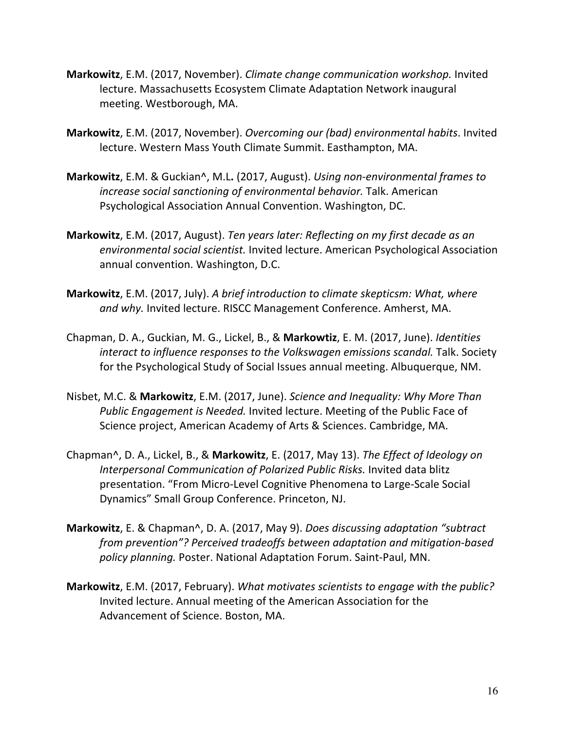- **Markowitz**, E.M. (2017, November). *Climate change communication workshop.* Invited lecture. Massachusetts Ecosystem Climate Adaptation Network inaugural meeting. Westborough, MA.
- **Markowitz**, E.M. (2017, November). *Overcoming our (bad) environmental habits*. Invited lecture. Western Mass Youth Climate Summit. Easthampton, MA.
- **Markowitz**, E.M. & Guckian^, M.L**.** (2017, August). *Using non-environmental frames to increase social sanctioning of environmental behavior.* Talk. American Psychological Association Annual Convention. Washington, DC.
- **Markowitz**, E.M. (2017, August). *Ten years later: Reflecting on my first decade as an environmental social scientist.* Invited lecture. American Psychological Association annual convention. Washington, D.C.
- **Markowitz**, E.M. (2017, July). *A brief introduction to climate skepticsm: What, where and why.* Invited lecture. RISCC Management Conference. Amherst, MA.
- Chapman, D. A., Guckian, M. G., Lickel, B., & **Markowtiz**, E. M. (2017, June). *Identities interact to influence responses to the Volkswagen emissions scandal.* Talk. Society for the Psychological Study of Social Issues annual meeting. Albuquerque, NM.
- Nisbet, M.C. & **Markowitz**, E.M. (2017, June). *Science and Inequality: Why More Than Public Engagement is Needed.* Invited lecture. Meeting of the Public Face of Science project, American Academy of Arts & Sciences. Cambridge, MA.
- Chapman^, D. A., Lickel, B., & **Markowitz**, E. (2017, May 13). *The Effect of Ideology on Interpersonal Communication of Polarized Public Risks.* Invited data blitz presentation. "From Micro-Level Cognitive Phenomena to Large-Scale Social Dynamics" Small Group Conference. Princeton, NJ.
- **Markowitz**, E. & Chapman^, D. A. (2017, May 9). *Does discussing adaptation "subtract from prevention"? Perceived tradeoffs between adaptation and mitigation-based policy planning.* Poster. National Adaptation Forum. Saint-Paul, MN.
- **Markowitz**, E.M. (2017, February). *What motivates scientists to engage with the public?*  Invited lecture. Annual meeting of the American Association for the Advancement of Science. Boston, MA.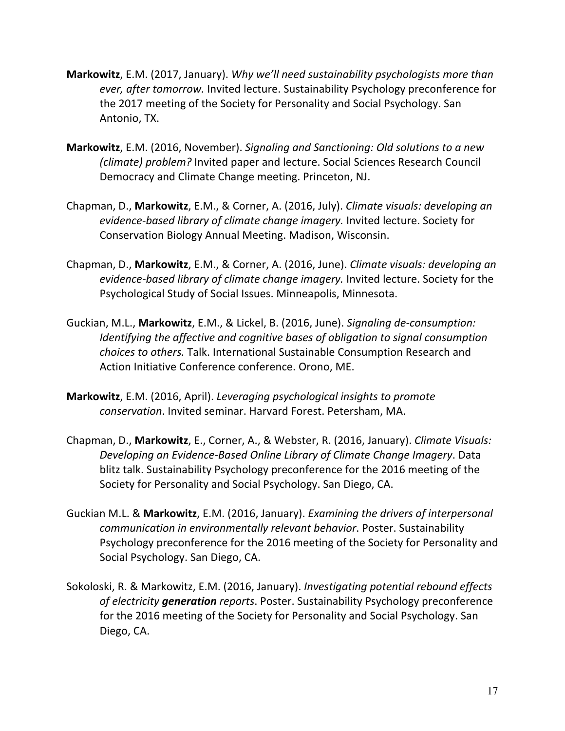- **Markowitz**, E.M. (2017, January). *Why we'll need sustainability psychologists more than ever, after tomorrow.* Invited lecture. Sustainability Psychology preconference for the 2017 meeting of the Society for Personality and Social Psychology. San Antonio, TX.
- **Markowitz**, E.M. (2016, November). *Signaling and Sanctioning: Old solutions to a new (climate) problem?* Invited paper and lecture. Social Sciences Research Council Democracy and Climate Change meeting. Princeton, NJ.
- Chapman, D., **Markowitz**, E.M., & Corner, A. (2016, July). *Climate visuals: developing an evidence-based library of climate change imagery.* Invited lecture. Society for Conservation Biology Annual Meeting. Madison, Wisconsin.
- Chapman, D., **Markowitz**, E.M., & Corner, A. (2016, June). *Climate visuals: developing an evidence-based library of climate change imagery.* Invited lecture. Society for the Psychological Study of Social Issues. Minneapolis, Minnesota.
- Guckian, M.L., **Markowitz**, E.M., & Lickel, B. (2016, June). *Signaling de-consumption: Identifying the affective and cognitive bases of obligation to signal consumption choices to others.* Talk. International Sustainable Consumption Research and Action Initiative Conference conference. Orono, ME.
- **Markowitz**, E.M. (2016, April). *Leveraging psychological insights to promote conservation*. Invited seminar. Harvard Forest. Petersham, MA.
- Chapman, D., **Markowitz**, E., Corner, A., & Webster, R. (2016, January). *Climate Visuals: Developing an Evidence-Based Online Library of Climate Change Imagery*. Data blitz talk. Sustainability Psychology preconference for the 2016 meeting of the Society for Personality and Social Psychology. San Diego, CA.
- Guckian M.L. & **Markowitz**, E.M. (2016, January). *Examining the drivers of interpersonal communication in environmentally relevant behavior*. Poster. Sustainability Psychology preconference for the 2016 meeting of the Society for Personality and Social Psychology. San Diego, CA.
- Sokoloski, R. & Markowitz, E.M. (2016, January). *Investigating potential rebound effects of electricity generation reports*. Poster. Sustainability Psychology preconference for the 2016 meeting of the Society for Personality and Social Psychology. San Diego, CA.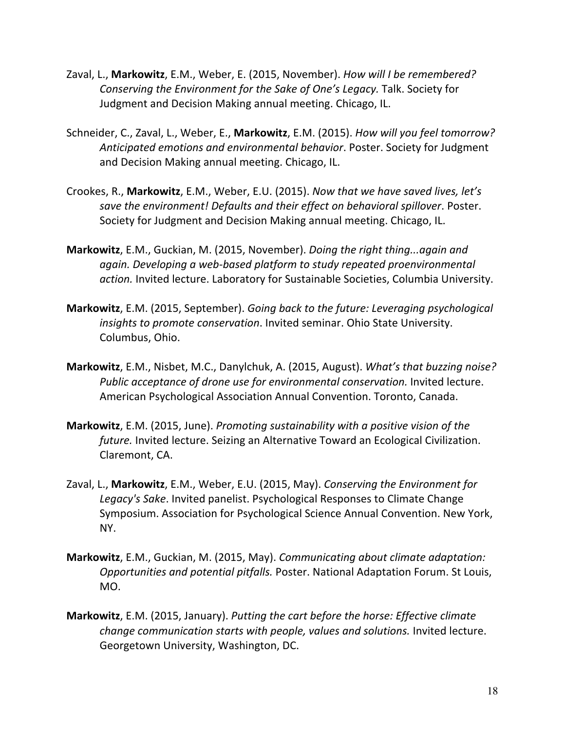- Zaval, L., **Markowitz**, E.M., Weber, E. (2015, November). *How will I be remembered? Conserving the Environment for the Sake of One's Legacy.* Talk. Society for Judgment and Decision Making annual meeting. Chicago, IL.
- Schneider, C., Zaval, L., Weber, E., **Markowitz**, E.M. (2015). *How will you feel tomorrow? Anticipated emotions and environmental behavior*. Poster. Society for Judgment and Decision Making annual meeting. Chicago, IL.
- Crookes, R., **Markowitz**, E.M., Weber, E.U. (2015). *Now that we have saved lives, let's save the environment! Defaults and their effect on behavioral spillover*. Poster. Society for Judgment and Decision Making annual meeting. Chicago, IL.
- **Markowitz**, E.M., Guckian, M. (2015, November). *Doing the right thing...again and again. Developing a web-based platform to study repeated proenvironmental action.* Invited lecture. Laboratory for Sustainable Societies, Columbia University.
- **Markowitz**, E.M. (2015, September). *Going back to the future: Leveraging psychological insights to promote conservation*. Invited seminar. Ohio State University. Columbus, Ohio.
- **Markowitz**, E.M., Nisbet, M.C., Danylchuk, A. (2015, August). *What's that buzzing noise?*  Public acceptance of drone use for environmental conservation. Invited lecture. American Psychological Association Annual Convention. Toronto, Canada.
- **Markowitz**, E.M. (2015, June). *Promoting sustainability with a positive vision of the future.* Invited lecture. Seizing an Alternative Toward an Ecological Civilization. Claremont, CA.
- Zaval, L., **Markowitz**, E.M., Weber, E.U. (2015, May). *Conserving the Environment for Legacy's Sake*. Invited panelist. Psychological Responses to Climate Change Symposium. Association for Psychological Science Annual Convention. New York, NY.
- **Markowitz**, E.M., Guckian, M. (2015, May). *Communicating about climate adaptation: Opportunities and potential pitfalls.* Poster. National Adaptation Forum. St Louis, MO.
- **Markowitz**, E.M. (2015, January). *Putting the cart before the horse: Effective climate change communication starts with people, values and solutions.* Invited lecture. Georgetown University, Washington, DC.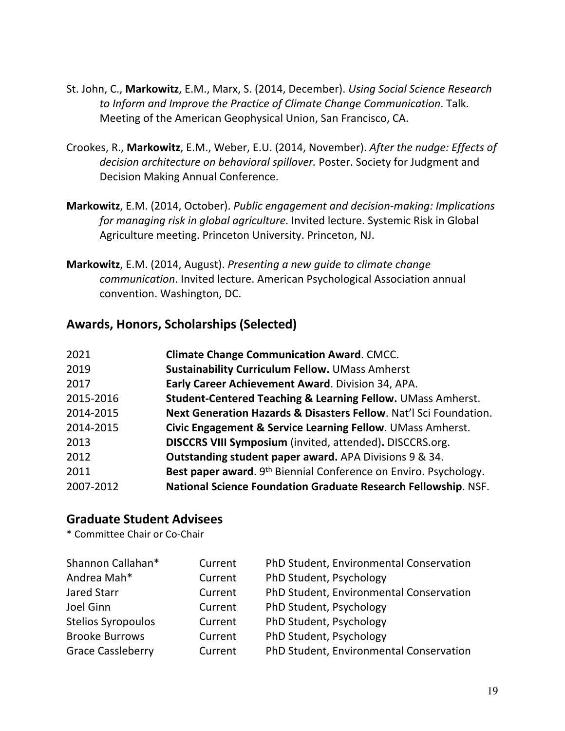- St. John, C., **Markowitz**, E.M., Marx, S. (2014, December). *Using Social Science Research to Inform and Improve the Practice of Climate Change Communication*. Talk. Meeting of the American Geophysical Union, San Francisco, CA.
- Crookes, R., **Markowitz**, E.M., Weber, E.U. (2014, November). *After the nudge: Effects of decision architecture on behavioral spillover.* Poster. Society for Judgment and Decision Making Annual Conference.
- **Markowitz**, E.M. (2014, October). *Public engagement and decision-making: Implications for managing risk in global agriculture*. Invited lecture. Systemic Risk in Global Agriculture meeting. Princeton University. Princeton, NJ.
- **Markowitz**, E.M. (2014, August). *Presenting a new guide to climate change communication*. Invited lecture. American Psychological Association annual convention. Washington, DC.

#### **Awards, Honors, Scholarships (Selected)**

| 2021      | <b>Climate Change Communication Award. CMCC.</b>                             |
|-----------|------------------------------------------------------------------------------|
|           |                                                                              |
| 2019      | <b>Sustainability Curriculum Fellow. UMass Amherst</b>                       |
| 2017      | Early Career Achievement Award. Division 34, APA.                            |
| 2015-2016 | <b>Student-Centered Teaching &amp; Learning Fellow. UMass Amherst.</b>       |
| 2014-2015 | Next Generation Hazards & Disasters Fellow. Nat'l Sci Foundation.            |
| 2014-2015 | Civic Engagement & Service Learning Fellow. UMass Amherst.                   |
| 2013      | DISCCRS VIII Symposium (invited, attended). DISCCRS.org.                     |
| 2012      | <b>Outstanding student paper award.</b> APA Divisions 9 & 34.                |
| 2011      | Best paper award. 9 <sup>th</sup> Biennial Conference on Enviro. Psychology. |
| 2007-2012 | National Science Foundation Graduate Research Fellowship. NSF.               |
|           |                                                                              |

#### **Graduate Student Advisees**

\* Committee Chair or Co-Chair

| Shannon Callahan*         | Current | PhD Student, Environmental Conservation |
|---------------------------|---------|-----------------------------------------|
| Andrea Mah*               | Current | PhD Student, Psychology                 |
| Jared Starr               | Current | PhD Student, Environmental Conservation |
| Joel Ginn                 | Current | PhD Student, Psychology                 |
| <b>Stelios Syropoulos</b> | Current | PhD Student, Psychology                 |
| <b>Brooke Burrows</b>     | Current | PhD Student, Psychology                 |
| <b>Grace Cassleberry</b>  | Current | PhD Student, Environmental Conservation |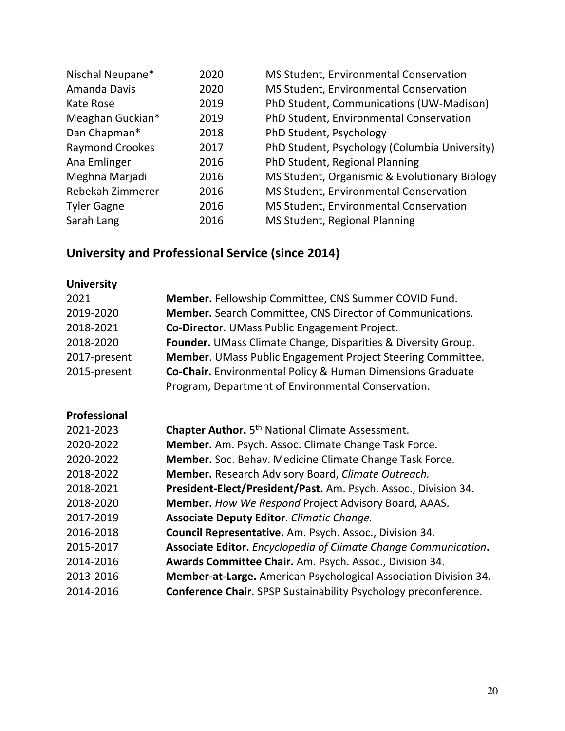| Nischal Neupane*       | 2020 | MS Student, Environmental Conservation        |
|------------------------|------|-----------------------------------------------|
| Amanda Davis           | 2020 | MS Student, Environmental Conservation        |
| Kate Rose              | 2019 | PhD Student, Communications (UW-Madison)      |
| Meaghan Guckian*       | 2019 | PhD Student, Environmental Conservation       |
| Dan Chapman*           | 2018 | PhD Student, Psychology                       |
| <b>Raymond Crookes</b> | 2017 | PhD Student, Psychology (Columbia University) |
| Ana Emlinger           | 2016 | PhD Student, Regional Planning                |
| Meghna Marjadi         | 2016 | MS Student, Organismic & Evolutionary Biology |
| Rebekah Zimmerer       | 2016 | MS Student, Environmental Conservation        |
| <b>Tyler Gagne</b>     | 2016 | MS Student, Environmental Conservation        |
| Sarah Lang             | 2016 | MS Student, Regional Planning                 |

# **University and Professional Service (since 2014)**

| <b>University</b> |                                                                        |
|-------------------|------------------------------------------------------------------------|
| 2021              | Member. Fellowship Committee, CNS Summer COVID Fund.                   |
| 2019-2020         | <b>Member.</b> Search Committee, CNS Director of Communications.       |
| 2018-2021         | Co-Director. UMass Public Engagement Project.                          |
| 2018-2020         | Founder. UMass Climate Change, Disparities & Diversity Group.          |
| 2017-present      | Member. UMass Public Engagement Project Steering Committee.            |
| 2015-present      | Co-Chair. Environmental Policy & Human Dimensions Graduate             |
|                   | Program, Department of Environmental Conservation.                     |
| Professional      |                                                                        |
| 2021-2023         | Chapter Author. 5th National Climate Assessment.                       |
| 2020-2022         | Member. Am. Psych. Assoc. Climate Change Task Force.                   |
| 2020-2022         | Member. Soc. Behav. Medicine Climate Change Task Force.                |
| 2018-2022         | Member. Research Advisory Board, Climate Outreach.                     |
| 2018-2021         | President-Elect/President/Past. Am. Psych. Assoc., Division 34.        |
| 2018-2020         | Member. How We Respond Project Advisory Board, AAAS.                   |
| 2017-2019         | <b>Associate Deputy Editor. Climatic Change.</b>                       |
| 2016-2018         | Council Representative. Am. Psych. Assoc., Division 34.                |
| 2015-2017         | Associate Editor. Encyclopedia of Climate Change Communication.        |
| 2014-2016         | Awards Committee Chair. Am. Psych. Assoc., Division 34.                |
| 2013-2016         | Member-at-Large. American Psychological Association Division 34.       |
| 2014-2016         | <b>Conference Chair.</b> SPSP Sustainability Psychology preconference. |